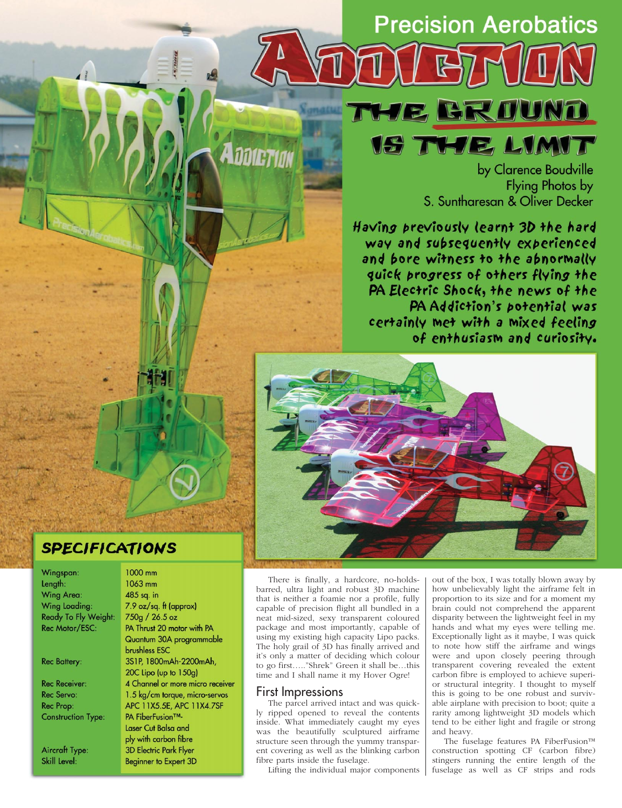# **Precision Aerobatics**

WE BROUND

**18 THE LIMIT** 

by Clarence Boudville **Flying Photos by** S. Suntharesan & Oliver Decker

Having previously learnt 3D the hard way and subsequently experienced and bore witness to the abnormally quick progress of others flying the PA Electric Shock, the news of the PA Addiction's potential was certainly met with a mixed feeling of enthusiasm and curiosity.



# **SPECIFICATIONS**

1000 mm

Wingspan: Length: **Wing Area:** Wing Loading: Ready To Fly Weight: Rec Motor/ESC:

**Rec Battery:** 

**Rec Receiver:** Rec Servo: Rec Prop: **Construction Type:** 

**Aircraft Type:** Skill Level:

1063 mm 485 sq. in 7.9 oz/sq. ft (approx) 750g / 26.5 oz PA Thrust 20 motor with PA Quantum 30A programmable brushless ESC 3S1P, 1800mAh-2200mAh, 20C Lipo (up to 150g) 4 Channel or more micro receiver 1.5 kg/cm torque, micro-servos APC 11X5.5E, APC 11X4.7SF PA FiberFusion™-Laser Cut Balsa and ply with carbon fibre **3D Electric Park Flyer Beginner to Expert 3D** 

There is finally, a hardcore, no-holdsbarred, ultra light and robust 3D machine that is neither a foamie nor a profile, fully capable of precision flight all bundled in a neat mid-sized, sexy transparent coloured package and most importantly, capable of using my existing high capacity Lipo packs. The holy grail of 3D has finally arrived and it's only a matter of deciding which colour to go first….."Shrek" Green it shall be…this time and I shall name it my Hover Ogre!

#### First Impressions

**ADDIETIA** 

The parcel arrived intact and was quickly ripped opened to reveal the contents inside. What immediately caught my eyes was the beautifully sculptured airframe structure seen through the yummy transparent covering as well as the blinking carbon fibre parts inside the fuselage.

Lifting the individual major components

out of the box, I was totally blown away by how unbelievably light the airframe felt in proportion to its size and for a moment my brain could not comprehend the apparent disparity between the lightweight feel in my hands and what my eyes were telling me. Exceptionally light as it maybe, I was quick to note how stiff the airframe and wings were and upon closely peering through transparent covering revealed the extent carbon fibre is employed to achieve superior structural integrity. I thought to myself this is going to be one robust and survivable airplane with precision to boot; quite a rarity among lightweight 3D models which tend to be either light and fragile or strong and heavy.

The fuselage features PA FiberFusion™ construction spotting CF (carbon fibre) stingers running the entire length of the fuselage as well as CF strips and rods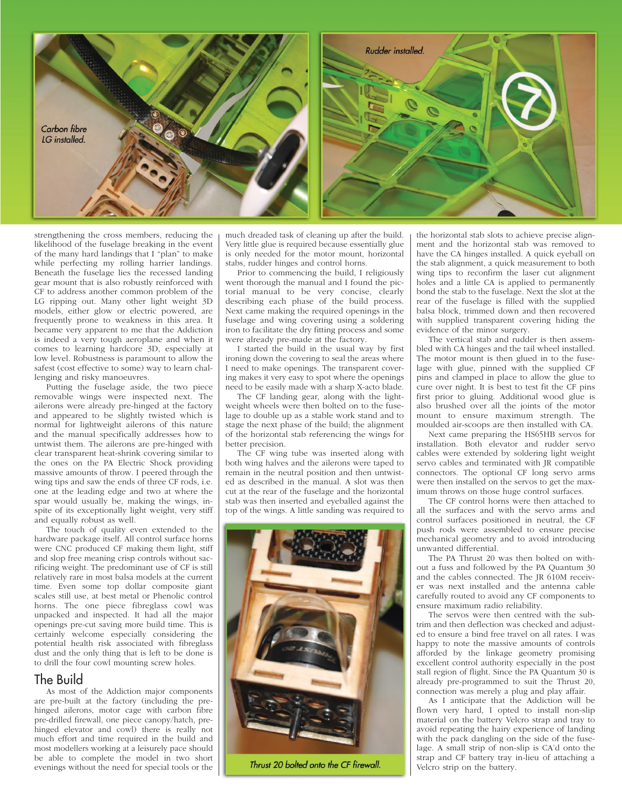

strengthening the cross members, reducing the likelihood of the fuselage breaking in the event of the many hard landings that I "plan" to make while perfecting my rolling harrier landings. Beneath the fuselage lies the recessed landing gear mount that is also robustly reinforced with CF to address another common problem of the LG ripping out. Many other light weight 3D models, either glow or electric powered, are frequently prone to weakness in this area. It became very apparent to me that the Addiction is indeed a very tough aeroplane and when it comes to learning hardcore 3D, especially at low level. Robustness is paramount to allow the safest (cost effective to some) way to learn challenging and risky manoeuvres.

Putting the fuselage aside, the two piece removable wings were inspected next. The ailerons were already pre-hinged at the factory and appeared to be slightly twisted which is normal for lightweight ailerons of this nature and the manual specifically addresses how to untwist them. The ailerons are pre-hinged with clear transparent heat-shrink covering similar to the ones on the PA Electric Shock providing massive amounts of throw. I peered through the wing tips and saw the ends of three CF rods, i.e. one at the leading edge and two at where the spar would usually be, making the wings, inspite of its exceptionally light weight, very stiff and equally robust as well.

The touch of quality even extended to the hardware package itself. All control surface horns were CNC produced CF making them light, stiff and slop free meaning crisp controls without sacrificing weight. The predominant use of CF is still relatively rare in most balsa models at the current time. Even some top dollar composite giant scales still use, at best metal or Phenolic control horns. The one piece fibreglass cowl was unpacked and inspected. It had all the major openings pre-cut saving more build time. This is certainly welcome especially considering the potential health risk associated with fibreglass dust and the only thing that is left to be done is to drill the four cowl mounting screw holes.

### The Build

As most of the Addiction major components are pre-built at the factory (including the prehinged ailerons, motor cage with carbon fibre pre-drilled firewall, one piece canopy/hatch, prehinged elevator and cowl) there is really not much effort and time required in the build and most modellers working at a leisurely pace should be able to complete the model in two short evenings without the need for special tools or the

much dreaded task of cleaning up after the build. Very little glue is required because essentially glue is only needed for the motor mount, horizontal stabs, rudder hinges and control horns.

Prior to commencing the build, I religiously went thorough the manual and I found the pictorial manual to be very concise, clearly describing each phase of the build process. Next came making the required openings in the fuselage and wing covering using a soldering iron to facilitate the dry fitting process and some were already pre-made at the factory.

I started the build in the usual way by first ironing down the covering to seal the areas where I need to make openings. The transparent covering makes it very easy to spot where the openings need to be easily made with a sharp X-acto blade.

The CF landing gear, along with the lightweight wheels were then bolted on to the fuselage to double up as a stable work stand and to stage the next phase of the build; the alignment of the horizontal stab referencing the wings for better precision.

The CF wing tube was inserted along with both wing halves and the ailerons were taped to remain in the neutral position and then untwisted as described in the manual. A slot was then cut at the rear of the fuselage and the horizontal stab was then inserted and eyeballed against the top of the wings. A little sanding was required to



Thrust 20 bolted onto the CF firewall.

the horizontal stab slots to achieve precise alignment and the horizontal stab was removed to have the CA hinges installed. A quick eyeball on the stab alignment, a quick measurement to both wing tips to reconfirm the laser cut alignment holes and a little CA is applied to permanently bond the stab to the fuselage. Next the slot at the rear of the fuselage is filled with the supplied balsa block, trimmed down and then recovered with supplied transparent covering hiding the evidence of the minor surgery.

The vertical stab and rudder is then assembled with CA hinges and the tail wheel installed. The motor mount is then glued in to the fuselage with glue, pinned with the supplied CF pins and clamped in place to allow the glue to cure over night. It is best to test fit the CF pins first prior to gluing. Additional wood glue is also brushed over all the joints of the motor mount to ensure maximum strength. The moulded air-scoops are then installed with CA.

Next came preparing the HS65HB servos for installation. Both elevator and rudder servo cables were extended by soldering light weight servo cables and terminated with JR compatible connectors. The optional CF long servo arms were then installed on the servos to get the maximum throws on those huge control surfaces.

The CF control horns were then attached to all the surfaces and with the servo arms and control surfaces positioned in neutral, the CF push rods were assembled to ensure precise mechanical geometry and to avoid introducing unwanted differential.

The PA Thrust 20 was then bolted on without a fuss and followed by the PA Quantum 30 and the cables connected. The JR 610M receiver was next installed and the antenna cable carefully routed to avoid any CF components to ensure maximum radio reliability.

The servos were then centred with the subtrim and then deflection was checked and adjusted to ensure a bind free travel on all rates. I was happy to note the massive amounts of controls afforded by the linkage geometry promising excellent control authority especially in the post stall region of flight. Since the PA Quantum 30 is already pre-programmed to suit the Thrust 20, connection was merely a plug and play affair.

As I anticipate that the Addiction will be flown very hard, I opted to install non-slip material on the battery Velcro strap and tray to avoid repeating the hairy experience of landing with the pack dangling on the side of the fuselage. A small strip of non-slip is CA'd onto the strap and CF battery tray in-lieu of attaching a Velcro strip on the battery.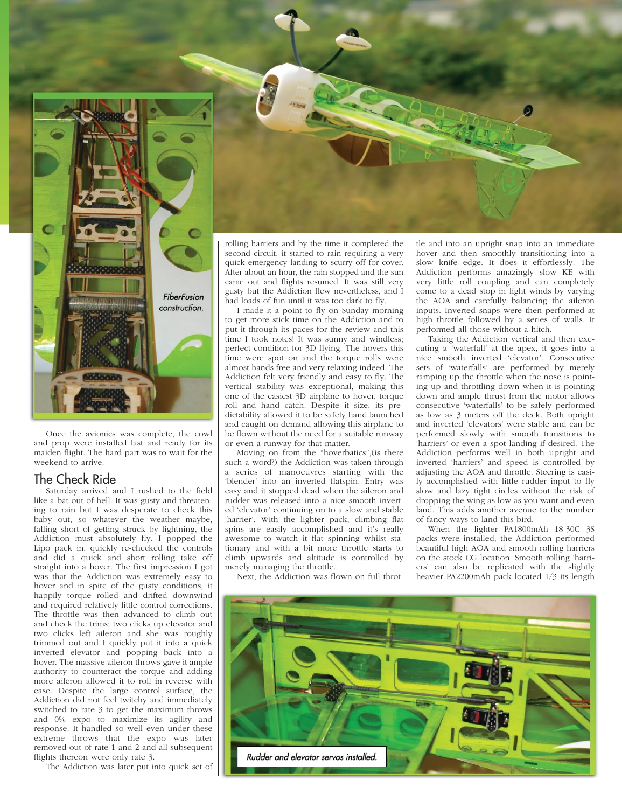

Once the avionics was complete, the cowl and prop were installed last and ready for its maiden flight. The hard part was to wait for the weekend to arrive.

## The Check Ride

Saturday arrived and I rushed to the field like a bat out of hell. It was gusty and threatening to rain but I was desperate to check this baby out, so whatever the weather maybe, falling short of getting struck by lightning, the Addiction must absolutely fly. I popped the Lipo pack in, quickly re-checked the controls and did a quick and short rolling take off straight into a hover. The first impression I got was that the Addiction was extremely easy to hover and in spite of the gusty conditions, it happily torque rolled and drifted downwind and required relatively little control corrections. The throttle was then advanced to climb out and check the trims; two clicks up elevator and two clicks left aileron and she was roughly trimmed out and I quickly put it into a quick inverted elevator and popping back into a hover. The massive aileron throws gave it ample authority to counteract the torque and adding more aileron allowed it to roll in reverse with ease. Despite the large control surface, the Addiction did not feel twitchy and immediately switched to rate 3 to get the maximum throws and 0% expo to maximize its agility and response. It handled so well even under these extreme throws that the expo was later removed out of rate 1 and 2 and all subsequent flights thereon were only rate 3.

The Addiction was later put into quick set of

rolling harriers and by the time it completed the second circuit, it started to rain requiring a very quick emergency landing to scurry off for cover. After about an hour, the rain stopped and the sun came out and flights resumed. It was still very gusty but the Addiction flew nevertheless, and I had loads of fun until it was too dark to fly.

I made it a point to fly on Sunday morning to get more stick time on the Addiction and to put it through its paces for the review and this time I took notes! It was sunny and windless; perfect condition for 3D flying. The hovers this time were spot on and the torque rolls were almost hands free and very relaxing indeed. The Addiction felt very friendly and easy to fly. The vertical stability was exceptional, making this one of the easiest 3D airplane to hover, torque roll and hand catch. Despite it size, its predictability allowed it to be safely hand launched and caught on demand allowing this airplane to be flown without the need for a suitable runway or even a runway for that matter.

Moving on from the "hoverbatics",(is there such a word?) the Addiction was taken through a series of manoeuvres starting with the 'blender' into an inverted flatspin. Entry was easy and it stopped dead when the aileron and rudder was released into a nice smooth inverted 'elevator' continuing on to a slow and stable 'harrier'. With the lighter pack, climbing flat spins are easily accomplished and it's really awesome to watch it flat spinning whilst stationary and with a bit more throttle starts to climb upwards and altitude is controlled by merely managing the throttle.

Next, the Addiction was flown on full throt-

tle and into an upright snap into an immediate hover and then smoothly transitioning into a slow knife edge. It does it effortlessly. The Addiction performs amazingly slow KE with very little roll coupling and can completely come to a dead stop in light winds by varying the AOA and carefully balancing the aileron inputs. Inverted snaps were then performed at high throttle followed by a series of walls. It performed all those without a hitch.

Taking the Addiction vertical and then executing a 'waterfall' at the apex, it goes into a nice smooth inverted 'elevator'. Consecutive sets of 'waterfalls' are performed by merely ramping up the throttle when the nose is pointing up and throttling down when it is pointing down and ample thrust from the motor allows consecutive 'waterfalls' to be safely performed as low as 3 meters off the deck. Both upright and inverted 'elevators' were stable and can be performed slowly with smooth transitions to 'harriers' or even a spot landing if desired. The Addiction performs well in both upright and inverted 'harriers' and speed is controlled by adjusting the AOA and throttle. Steering is easily accomplished with little rudder input to fly slow and lazy tight circles without the risk of dropping the wing as low as you want and even land. This adds another avenue to the number of fancy ways to land this bird.

When the lighter PA1800mAh 18-30C 3S packs were installed, the Addiction performed beautiful high AOA and smooth rolling harriers on the stock CG location. Smooth rolling 'harriers' can also be replicated with the slightly heavier PA2200mAh pack located 1/3 its length